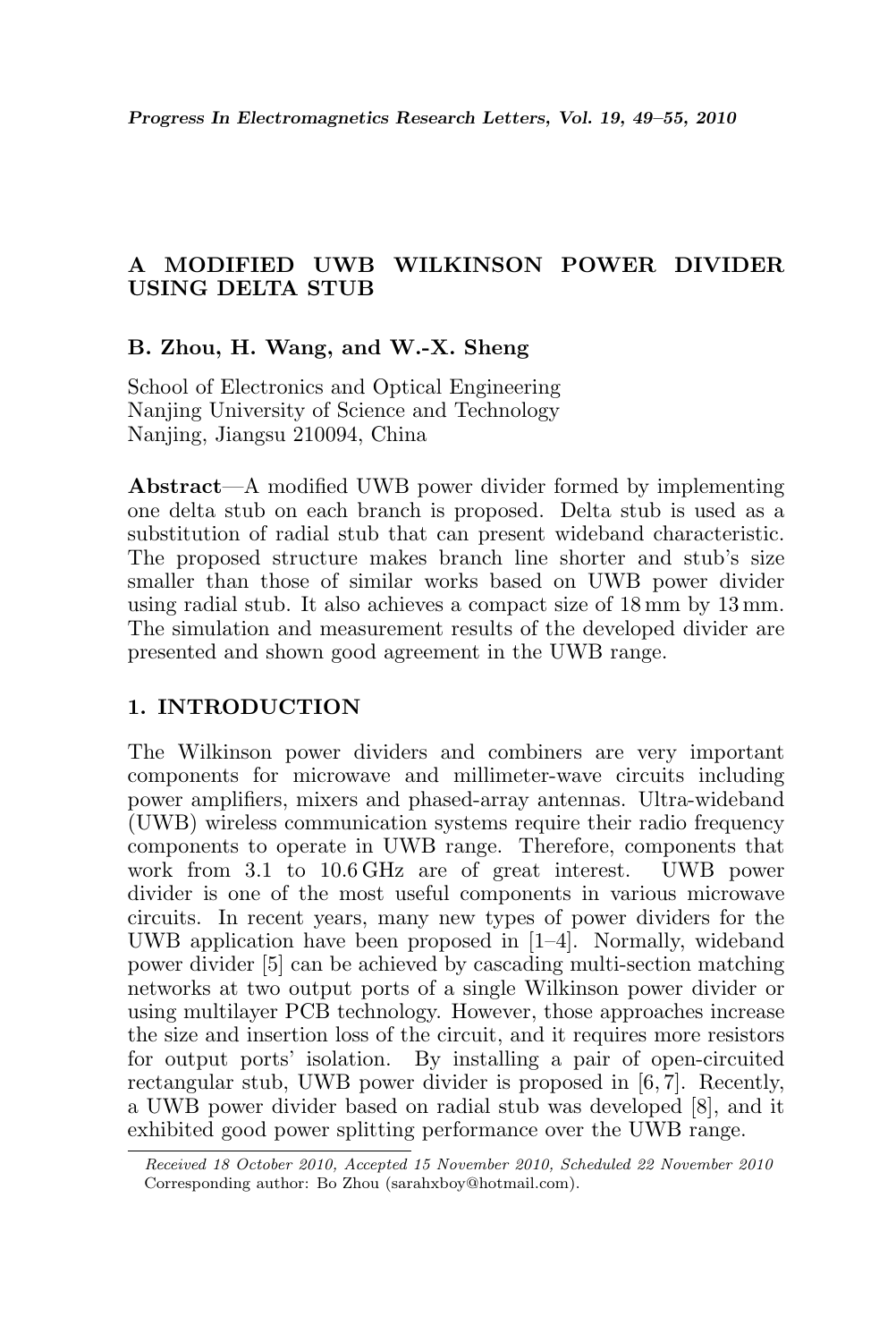# A MODIFIED UWB WILKINSON POWER DIVIDER USING DELTA STUB

# B. Zhou, H. Wang, and W.-X. Sheng

School of Electronics and Optical Engineering Nanjing University of Science and Technology Nanjing, Jiangsu 210094, China

Abstract—A modified UWB power divider formed by implementing one delta stub on each branch is proposed. Delta stub is used as a substitution of radial stub that can present wideband characteristic. The proposed structure makes branch line shorter and stub's size smaller than those of similar works based on UWB power divider using radial stub. It also achieves a compact size of 18 mm by 13 mm. The simulation and measurement results of the developed divider are presented and shown good agreement in the UWB range.

# 1. INTRODUCTION

The Wilkinson power dividers and combiners are very important components for microwave and millimeter-wave circuits including power amplifiers, mixers and phased-array antennas. Ultra-wideband (UWB) wireless communication systems require their radio frequency components to operate in UWB range. Therefore, components that work from 3.1 to 10.6 GHz are of great interest. UWB power divider is one of the most useful components in various microwave circuits. In recent years, many new types of power dividers for the UWB application have been proposed in [1–4]. Normally, wideband power divider [5] can be achieved by cascading multi-section matching networks at two output ports of a single Wilkinson power divider or using multilayer PCB technology. However, those approaches increase the size and insertion loss of the circuit, and it requires more resistors for output ports' isolation. By installing a pair of open-circuited rectangular stub, UWB power divider is proposed in [6, 7]. Recently, a UWB power divider based on radial stub was developed [8], and it exhibited good power splitting performance over the UWB range.

Received 18 October 2010, Accepted 15 November 2010, Scheduled 22 November 2010 Corresponding author: Bo Zhou (sarahxboy@hotmail.com).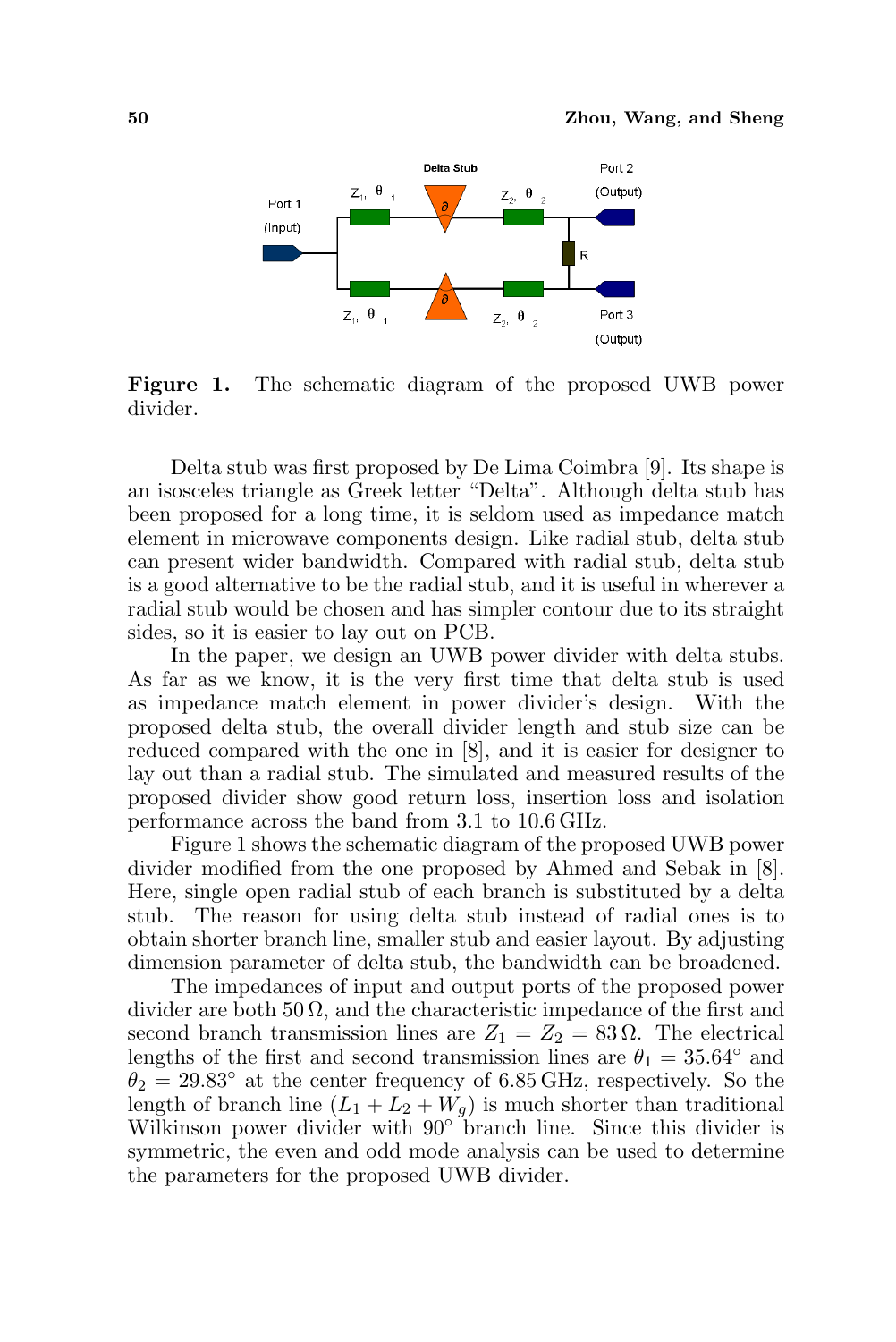

Figure 1. The schematic diagram of the proposed UWB power divider.

Delta stub was first proposed by De Lima Coimbra [9]. Its shape is an isosceles triangle as Greek letter "Delta". Although delta stub has been proposed for a long time, it is seldom used as impedance match element in microwave components design. Like radial stub, delta stub can present wider bandwidth. Compared with radial stub, delta stub is a good alternative to be the radial stub, and it is useful in wherever a radial stub would be chosen and has simpler contour due to its straight sides, so it is easier to lay out on PCB.

In the paper, we design an UWB power divider with delta stubs. As far as we know, it is the very first time that delta stub is used as impedance match element in power divider's design. With the proposed delta stub, the overall divider length and stub size can be reduced compared with the one in [8], and it is easier for designer to lay out than a radial stub. The simulated and measured results of the proposed divider show good return loss, insertion loss and isolation performance across the band from 3.1 to 10.6 GHz.

Figure 1 shows the schematic diagram of the proposed UWB power divider modified from the one proposed by Ahmed and Sebak in [8]. Here, single open radial stub of each branch is substituted by a delta stub. The reason for using delta stub instead of radial ones is to obtain shorter branch line, smaller stub and easier layout. By adjusting dimension parameter of delta stub, the bandwidth can be broadened.

The impedances of input and output ports of the proposed power divider are both  $50 \Omega$ , and the characteristic impedance of the first and second branch transmission lines are  $Z_1 = Z_2 = 83 \Omega$ . The electrical lengths of the first and second transmission lines are  $\theta_1 = 35.64°$  and  $\theta_2 = 29.83^\circ$  at the center frequency of 6.85 GHz, respectively. So the length of branch line  $(L_1 + L_2 + W_q)$  is much shorter than traditional Wilkinson power divider with 90° branch line. Since this divider is symmetric, the even and odd mode analysis can be used to determine the parameters for the proposed UWB divider.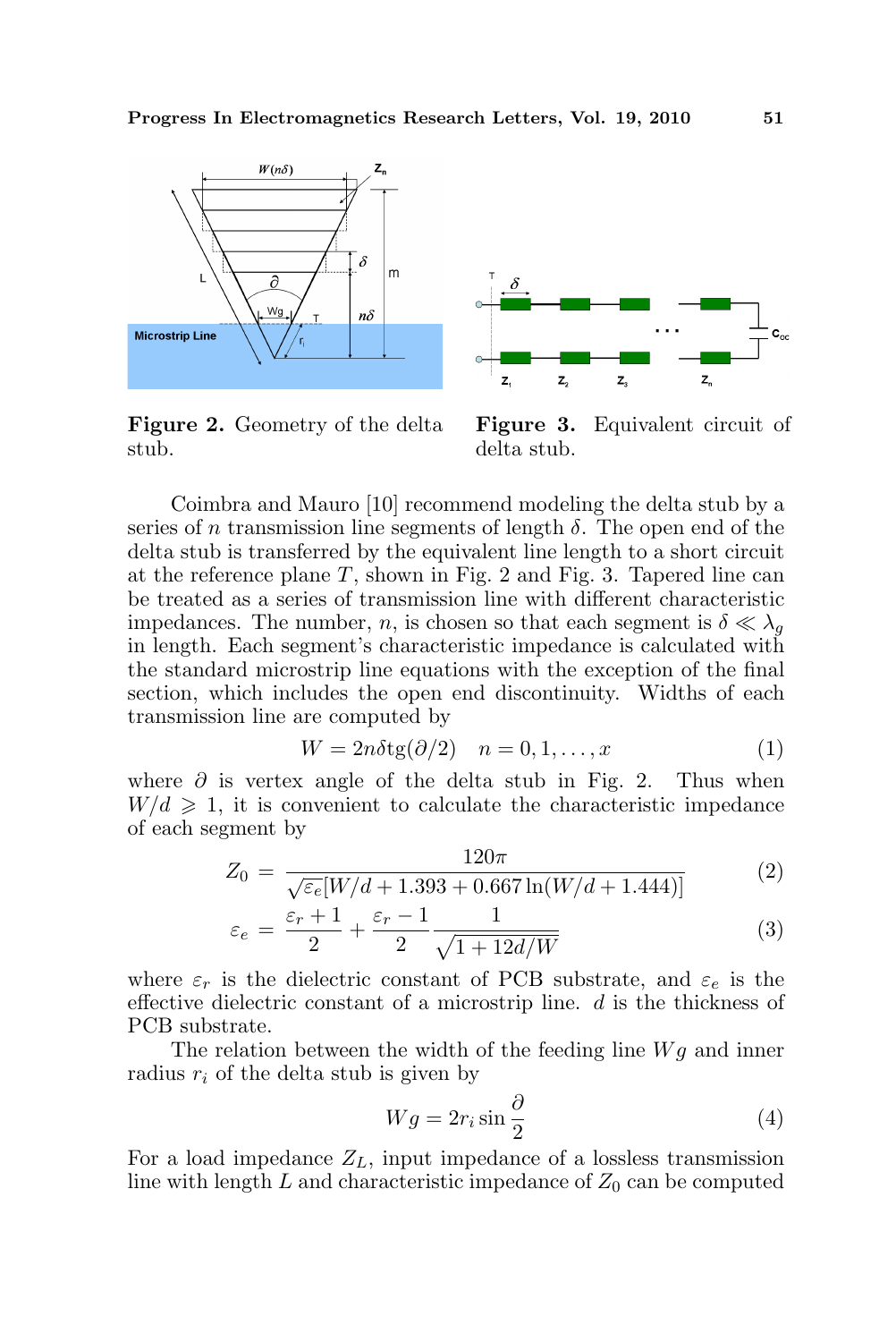

Figure 2. Geometry of the delta stub.



Figure 3. Equivalent circuit of delta stub.

Coimbra and Mauro [10] recommend modeling the delta stub by a series of n transmission line segments of length  $\delta$ . The open end of the delta stub is transferred by the equivalent line length to a short circuit at the reference plane  $T$ , shown in Fig. 2 and Fig. 3. Tapered line can be treated as a series of transmission line with different characteristic impedances. The number, n, is chosen so that each segment is  $\delta \ll \lambda_q$ in length. Each segment's characteristic impedance is calculated with the standard microstrip line equations with the exception of the final section, which includes the open end discontinuity. Widths of each transmission line are computed by

$$
W = 2n\delta \text{tg}(\partial/2) \quad n = 0, 1, \dots, x \tag{1}
$$

where  $\partial$  is vertex angle of the delta stub in Fig. 2. Thus when  $W/d \geq 1$ , it is convenient to calculate the characteristic impedance of each segment by

$$
Z_0 = \frac{120\pi}{\sqrt{\varepsilon_e} [W/d + 1.393 + 0.667 \ln(W/d + 1.444)]}
$$
(2)

$$
\varepsilon_e = \frac{\varepsilon_r + 1}{2} + \frac{\varepsilon_r - 1}{2} \frac{1}{\sqrt{1 + 12d/W}}
$$
(3)

where  $\varepsilon_r$  is the dielectric constant of PCB substrate, and  $\varepsilon_e$  is the effective dielectric constant of a microstrip line.  $d$  is the thickness of PCB substrate.

The relation between the width of the feeding line  $Wg$  and inner radius  $r_i$  of the delta stub is given by

$$
Wg = 2r_i \sin \frac{\partial}{2}
$$
 (4)

For a load impedance  $Z_L$ , input impedance of a lossless transmission line with length  $L$  and characteristic impedance of  $Z_0$  can be computed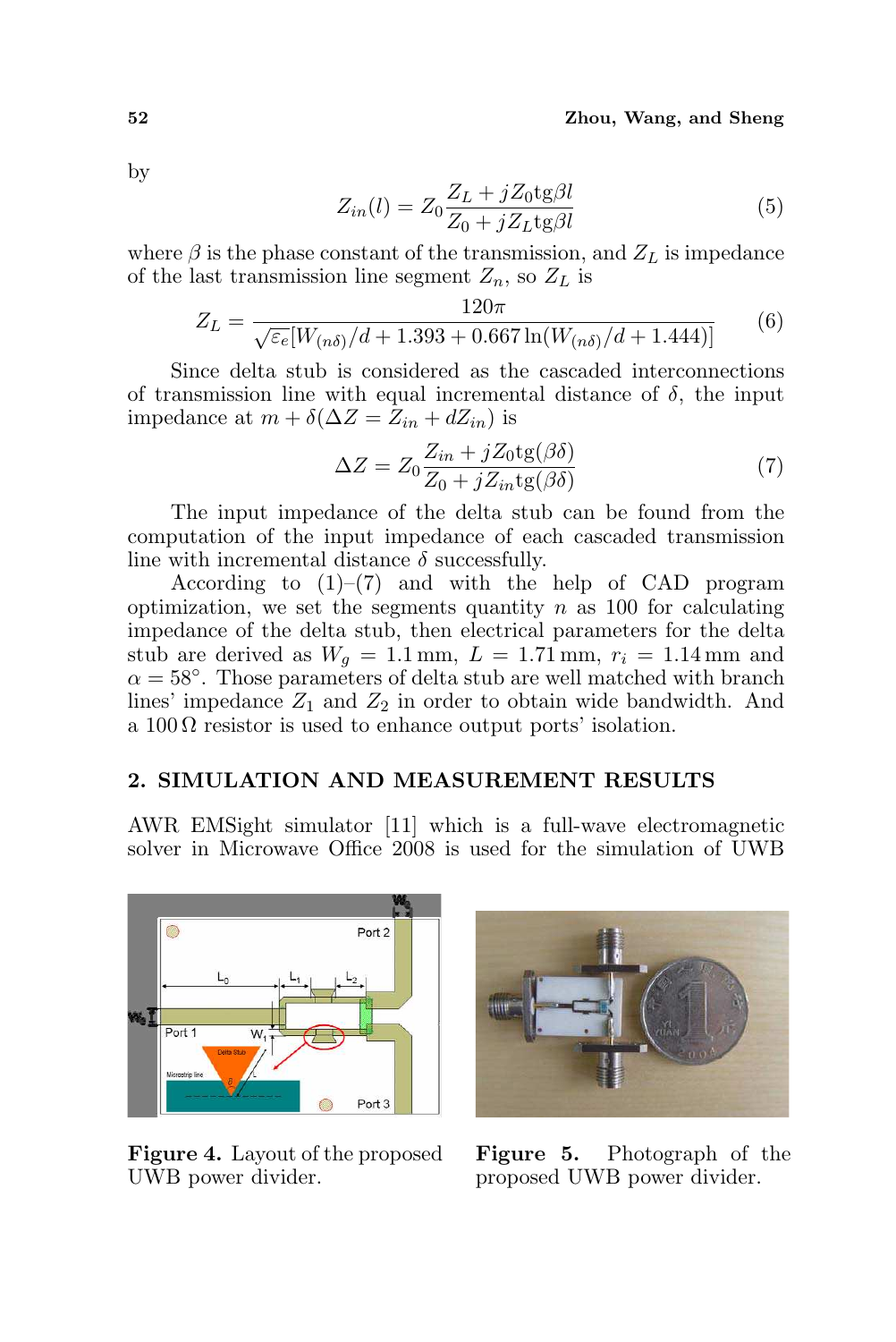by

$$
Z_{in}(l) = Z_0 \frac{Z_L + jZ_0 \text{tg}\beta l}{Z_0 + jZ_L \text{tg}\beta l} \tag{5}
$$

where  $\beta$  is the phase constant of the transmission, and  $Z_L$  is impedance of the last transmission line segment  $Z_n$ , so  $Z_L$  is

$$
Z_L = \frac{120\pi}{\sqrt{\varepsilon_e} [W_{(n\delta)}/d + 1.393 + 0.667 \ln(W_{(n\delta)}/d + 1.444)]}
$$
(6)

Since delta stub is considered as the cascaded interconnections of transmission line with equal incremental distance of  $\delta$ , the input impedance at  $m + \delta(\Delta Z = Z_{in} + dZ_{in})$  is

$$
\Delta Z = Z_0 \frac{Z_{in} + jZ_0 \text{tg}(\beta \delta)}{Z_0 + jZ_{in} \text{tg}(\beta \delta)}\tag{7}
$$

The input impedance of the delta stub can be found from the computation of the input impedance of each cascaded transmission line with incremental distance  $\delta$  successfully.

According to  $(1)$ – $(7)$  and with the help of CAD program optimization, we set the segments quantity  $n$  as 100 for calculating impedance of the delta stub, then electrical parameters for the delta stub are derived as  $W_g = 1.1$  mm,  $L = 1.71$  mm,  $r_i = 1.14$  mm and  $\alpha = 58^{\circ}$ . Those parameters of delta stub are well matched with branch lines' impedance  $Z_1$  and  $Z_2$  in order to obtain wide bandwidth. And a  $100 \Omega$  resistor is used to enhance output ports' isolation.

## 2. SIMULATION AND MEASUREMENT RESULTS

AWR EMSight simulator [11] which is a full-wave electromagnetic solver in Microwave Office 2008 is used for the simulation of UWB



Figure 4. Layout of the proposed UWB power divider.



Figure 5. Photograph of the proposed UWB power divider.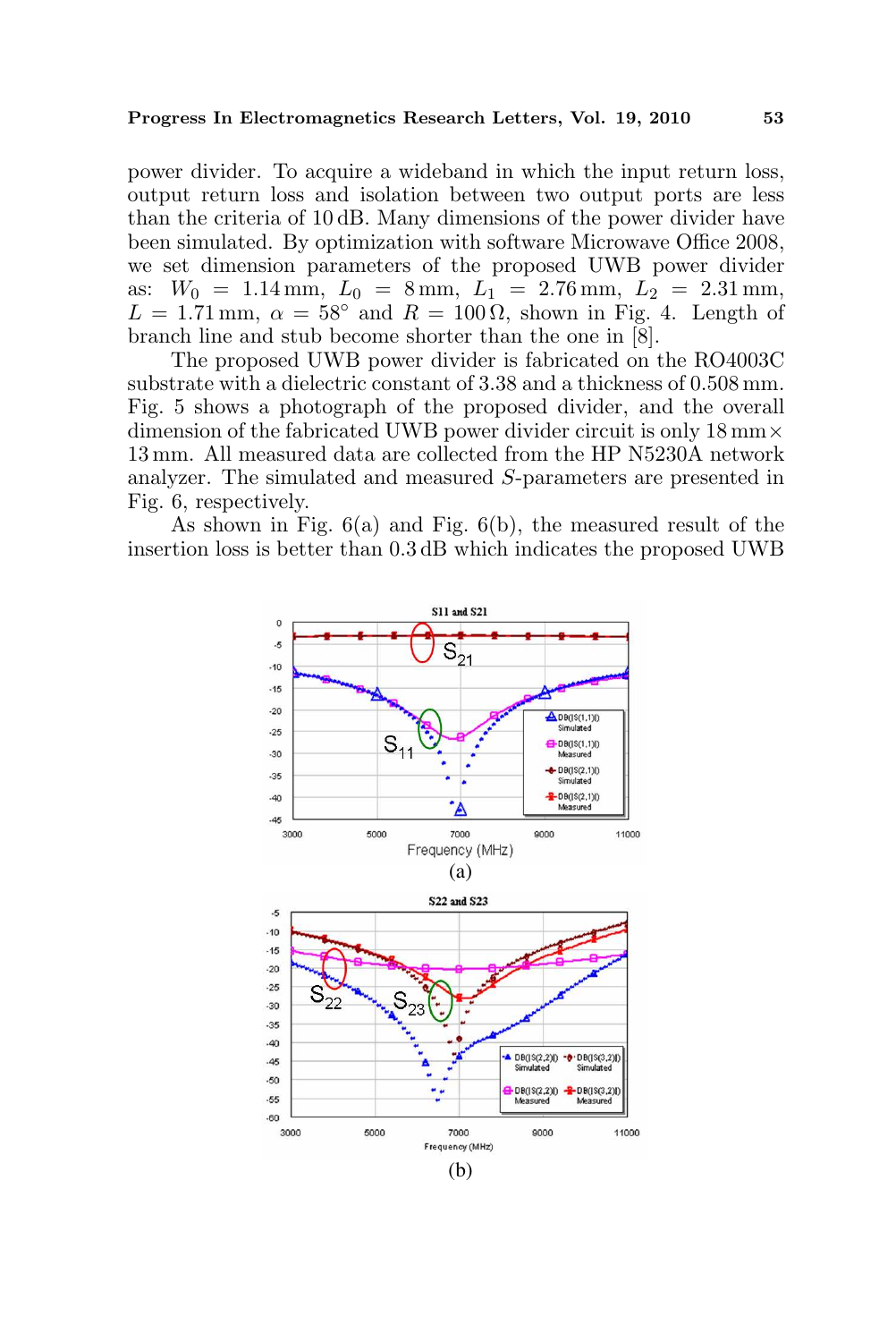power divider. To acquire a wideband in which the input return loss, output return loss and isolation between two output ports are less than the criteria of 10 dB. Many dimensions of the power divider have been simulated. By optimization with software Microwave Office 2008, we set dimension parameters of the proposed UWB power divider as:  $W_0 = 1.14$  mm,  $L_0 = 8$  mm,  $L_1 = 2.76$  mm,  $L_2 = 2.31$  mm,  $L = 1.71$  mm,  $\alpha = 58^{\circ}$  and  $R = 100 \Omega$ , shown in Fig. 4. Length of branch line and stub become shorter than the one in [8].

The proposed UWB power divider is fabricated on the RO4003C substrate with a dielectric constant of 3.38 and a thickness of 0.508 mm. Fig. 5 shows a photograph of the proposed divider, and the overall dimension of the fabricated UWB power divider circuit is only  $18 \text{ mm} \times$ 13 mm. All measured data are collected from the HP N5230A network analyzer. The simulated and measured S-parameters are presented in Fig. 6, respectively.

As shown in Fig. 6(a) and Fig. 6(b), the measured result of the insertion loss is better than 0.3 dB which indicates the proposed UWB

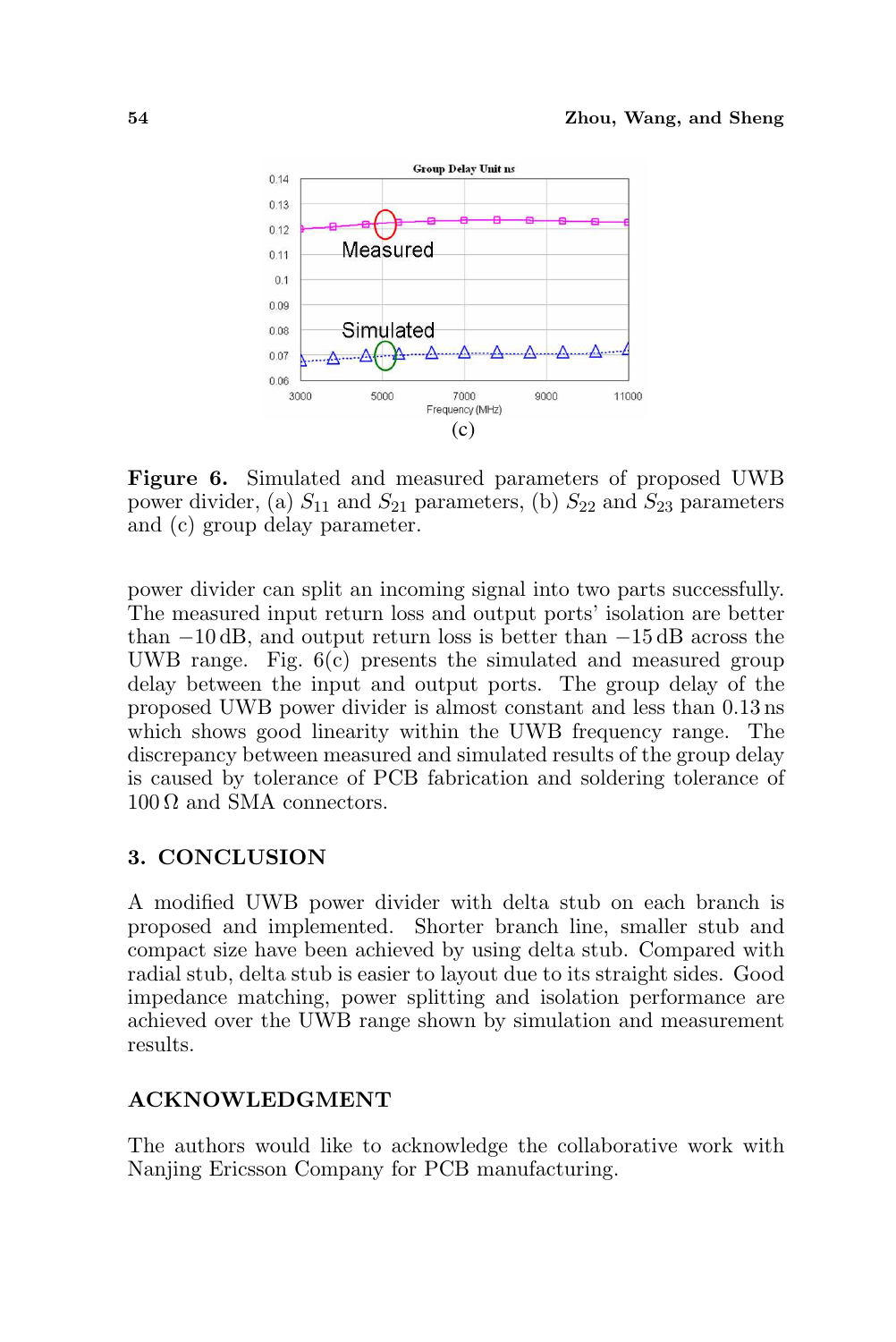

Figure 6. Simulated and measured parameters of proposed UWB power divider, (a)  $S_{11}$  and  $S_{21}$  parameters, (b)  $S_{22}$  and  $S_{23}$  parameters and (c) group delay parameter.

power divider can split an incoming signal into two parts successfully. The measured input return loss and output ports' isolation are better than −10 dB, and output return loss is better than −15 dB across the UWB range. Fig. 6(c) presents the simulated and measured group delay between the input and output ports. The group delay of the proposed UWB power divider is almost constant and less than 0.13 ns which shows good linearity within the UWB frequency range. The discrepancy between measured and simulated results of the group delay is caused by tolerance of PCB fabrication and soldering tolerance of  $100 \Omega$  and SMA connectors.

## 3. CONCLUSION

A modified UWB power divider with delta stub on each branch is proposed and implemented. Shorter branch line, smaller stub and compact size have been achieved by using delta stub. Compared with radial stub, delta stub is easier to layout due to its straight sides. Good impedance matching, power splitting and isolation performance are achieved over the UWB range shown by simulation and measurement results.

#### ACKNOWLEDGMENT

The authors would like to acknowledge the collaborative work with Nanjing Ericsson Company for PCB manufacturing.